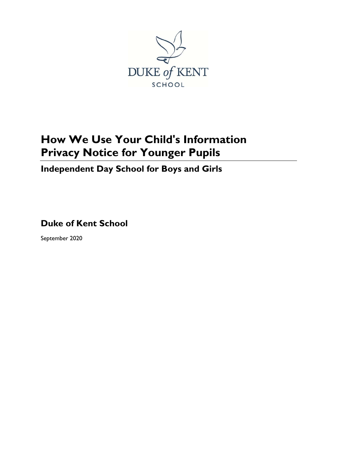

# **How We Use Your Child's Information Privacy Notice for Younger Pupils**

# **Independent Day School for Boys and Girls**

**Duke of Kent School**

September 2020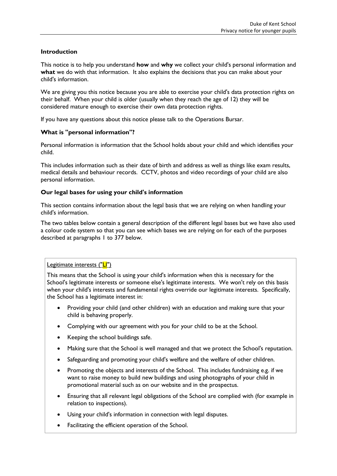#### **Introduction**

This notice is to help you understand **how** and **why** we collect your child's personal information and **what** we do with that information. It also explains the decisions that you can make about your child's information.

We are giving you this notice because you are able to exercise your child's data protection rights on their behalf. When your child is older (usually when they reach the age of 12) they will be considered mature enough to exercise their own data protection rights.

If you have any questions about this notice please talk to the Operations Bursar.

# **What is "personal information"?**

Personal information is information that the School holds about your child and which identifies your child.

This includes information such as their date of birth and address as well as things like exam results, medical details and behaviour records. CCTV, photos and video recordings of your child are also personal information.

#### **Our legal bases for using your child's information**

This section contains information about the legal basis that we are relying on when handling your child's information.

The two tables below contain a general description of the different legal bases but we have also used a colour code system so that you can see which bases we are relying on for each of the purposes described at paragraphs [1](#page-3-0) to [377](#page-5-0) below.

Legitimate interests ("LI")

This means that the School is using your child's information when this is necessary for the School's legitimate interests or someone else's legitimate interests. We won't rely on this basis when your child's interests and fundamental rights override our legitimate interests. Specifically, the School has a legitimate interest in:

- Providing your child (and other children) with an education and making sure that your child is behaving properly.
- Complying with our agreement with you for your child to be at the School.
- Keeping the school buildings safe.
- Making sure that the School is well managed and that we protect the School's reputation.
- Safeguarding and promoting your child's welfare and the welfare of other children.
- Promoting the objects and interests of the School. This includes fundraising e.g. if we want to raise money to build new buildings and using photographs of your child in promotional material such as on our website and in the prospectus.
- Ensuring that all relevant legal obligations of the School are complied with (for example in relation to inspections).
- Using your child's information in connection with legal disputes.
- Facilitating the efficient operation of the School.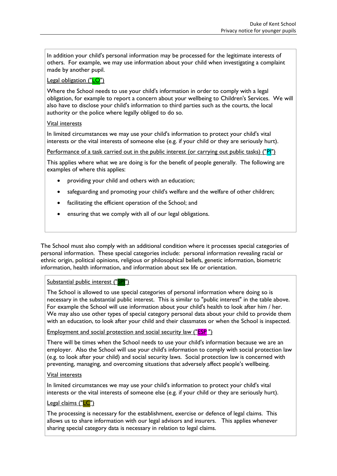In addition your child's personal information may be processed for the legitimate interests of others. For example, we may use information about your child when investigating a complaint made by another pupil.

# Legal obligation ("LO")

Where the School needs to use your child's information in order to comply with a legal obligation, for example to report a concern about your wellbeing to Children's Services. We will also have to disclose your child's information to third parties such as the courts, the local authority or the police where legally obliged to do so.

# Vital interests

In limited circumstances we may use your child's information to protect your child's vital interests or the vital interests of someone else (e.g. if your child or they are seriously hurt).

Performance of a task carried out in the public interest (or carrying out public tasks) ("PI")

This applies where what we are doing is for the benefit of people generally. The following are examples of where this applies:

- providing your child and others with an education;
- safeguarding and promoting your child's welfare and the welfare of other children;
- facilitating the efficient operation of the School; and
- ensuring that we comply with all of our legal obligations.

The School must also comply with an additional condition where it processes special categories of personal information. These special categories include: personal information revealing racial or ethnic origin, political opinions, religious or philosophical beliefs, genetic information, biometric information, health information, and information about sex life or orientation.

# Substantial public interest ("SPI")

The School is allowed to use special categories of personal information where doing so is necessary in the substantial public interest. This is similar to "public interest" in the table above. For example the School will use information about your child's health to look after him / her. We may also use other types of special category personal data about your child to provide them with an education, to look after your child and their classmates or when the School is inspected.

Employment and social protection and social security law ("ESP")

There will be times when the School needs to use your child's information because we are an employer. Also the School will use your child's information to comply with social protection law (e.g. to look after your child) and social security laws. Social protection law is concerned with preventing, managing, and overcoming situations that adversely affect people's wellbeing.

# Vital interests

In limited circumstances we may use your child's information to protect your child's vital interests or the vital interests of someone else (e.g. if your child or they are seriously hurt).

# Legal claims ("LC")

The processing is necessary for the establishment, exercise or defence of legal claims. This allows us to share information with our legal advisors and insurers. This applies whenever sharing special category data is necessary in relation to legal claims.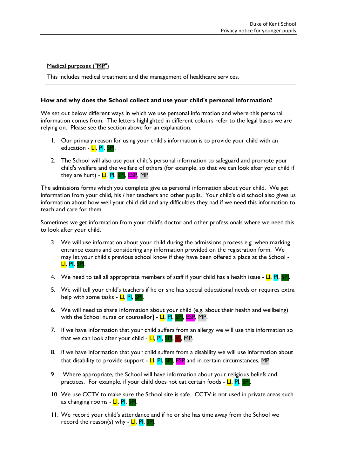Medical purposes ("MP")

This includes medical treatment and the management of healthcare services.

#### **How and why does the School collect and use your child's personal information?**

We set out below different ways in which we use personal information and where this personal information comes from. The letters highlighted in different colours refer to the legal bases we are relying on. Please see the section above for an explanation.

- <span id="page-3-0"></span>1. Our primary reason for using your child's information is to provide your child with an education - LI, PI, SPI.
- 2. The School will also use your child's personal information to safeguard and promote your child's welfare and the welfare of others (for example, so that we can look after your child if they are hurt) - LI, PI, SPI, ESP, MP.

The admissions forms which you complete give us personal information about your child. We get information from your child, his / her teachers and other pupils. Your child's old school also gives us information about how well your child did and any difficulties they had if we need this information to teach and care for them.

Sometimes we get information from your child's doctor and other professionals where we need this to look after your child.

- 3. We will use information about your child during the admissions process e.g. when marking entrance exams and considering any information provided on the registration form. We may let your child's previous school know if they have been offered a place at the School - LI, PI, SPI.
- 4. We need to tell all appropriate members of staff if your child has a health issue  $LI$ ,  $PI$ ,  $SPI$ .
- 5. We will tell your child's teachers if he or she has special educational needs or requires extra help with some tasks - LI, PI,
- 6. We will need to share information about your child (e.g. about their health and wellbeing) with the School nurse or counsellor] - LI, PI, SPI, ESP, MP.
- 7. If we have information that your child suffers from an allergy we will use this information so that we can look after your child -  $LI$ ,  $PI$ ,  $SI$ ,  $VI$ , MP.
- 8. If we have information that your child suffers from a disability we will use information about that disability to provide support -  $LI$ ,  $PI$ ,  $SPI$ ,  $ESP$  and in certain circumstances, MP.
- 9. Where appropriate, the School will have information about your religious beliefs and practices. For example, if your child does not eat certain foods -  $LI$ ,  $PI$ ,  $I$
- 10. We use CCTV to make sure the School site is safe. CCTV is not used in private areas such as changing rooms - LI, PI, SPI
- 11. We record your child's attendance and if he or she has time away from the School we record the reason(s) why -  $LI$ ,  $PI$ , SPI.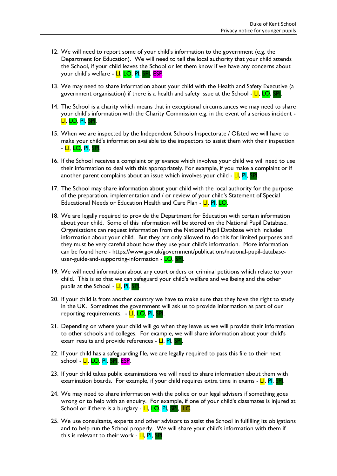- 12. We will need to report some of your child's information to the government (e.g. the Department for Education). We will need to tell the local authority that your child attends the School, if your child leaves the School or let them know if we have any concerns about your child's welfare - **LI, LO, PI, SPI, ESP.**
- 13. We may need to share information about your child with the Health and Safety Executive (a government organisation) if there is a health and safety issue at the School  $-LI$ ,  $LO$ ,
- 14. The School is a charity which means that in exceptional circumstances we may need to share your child's information with the Charity Commission e.g. in the event of a serious incident - LI, LO, PI, SPI.
- 15. When we are inspected by the Independent Schools Inspectorate / Ofsted we will have to make your child's information available to the inspectors to assist them with their inspection - LI, LO, PI, SPI.
- 16. If the School receives a complaint or grievance which involves your child we will need to use their information to deal with this appropriately. For example, if you make a complaint or if another parent complains about an issue which involves your child  $\overline{\mathsf{L}}$ , PI, SPI
- 17. The School may share information about your child with the local authority for the purpose of the preparation, implementation and / or review of your child's Statement of Special Educational Needs or Education Health and Care Plan - LI, PI, LO.
- 18. We are legally required to provide the Department for Education with certain information about your child. Some of this information will be stored on the National Pupil Database. Organisations can request information from the National Pupil Database which includes information about your child. But they are only allowed to do this for limited purposes and they must be very careful about how they use your child's information. More information can be found here - [https://www.gov.uk/government/publications/national-pupil-database](https://www.gov.uk/government/publications/national-pupil-database-user-guide-and-supporting-information)[user-guide-and-supporting-information](https://www.gov.uk/government/publications/national-pupil-database-user-guide-and-supporting-information) - LO,
- 19. We will need information about any court orders or criminal petitions which relate to your child. This is so that we can safeguard your child's welfare and wellbeing and the other pupils at the School - LI, PI, SPI.
- 20. If your child is from another country we have to make sure that they have the right to study in the UK. Sometimes the government will ask us to provide information as part of our reporting requirements. - LI, LO, PI, SPI
- 21. Depending on where your child will go when they leave us we will provide their information to other schools and colleges. For example, we will share information about your child's exam results and provide references - LI, PI, SPI
- 22. If your child has a safeguarding file, we are legally required to pass this file to their next school - <mark>LI, LO, PI, SPI</mark>, ESP.
- 23. If your child takes public examinations we will need to share information about them with examination boards. For example, if your child requires extra time in exams - LI, PI, SPI.
- 24. We may need to share information with the police or our legal advisers if something goes wrong or to help with an enquiry. For example, if one of your child's classmates is injured at School or if there is a burglary - LI, LO, PI, SPI, LC.
- 25. We use consultants, experts and other advisors to assist the School in fulfilling its obligations and to help run the School properly. We will share your child's information with them if this is relevant to their work - LI, PI, SPI.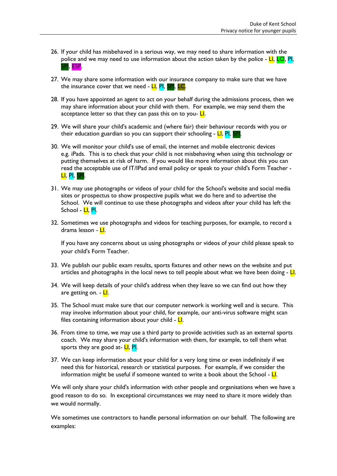- 26. If your child has misbehaved in a serious way, we may need to share information with the police and we may need to use information about the action taken by the police  $\overline{\mathsf{L}}$   $\overline{\mathsf{L}}$   $\overline{\mathsf{L}}$   $\overline{\mathsf{C}}$   $\overline{\mathsf{P}}$   $\overline{\mathsf{R}}$ l. esp.
- 27. We may share some information with our insurance company to make sure that we have the insurance cover that we need  $\text{-}$  LI, PI, SPI, LC.
- 28. If you have appointed an agent to act on your behalf during the admissions process, then we may share information about your child with them. For example, we may send them the acceptance letter so that they can pass this on to you- $LI$ .
- 29. We will share your child's academic and (where fair) their behaviour records with you or their education guardian so you can support their schooling - LI, PI, SPI.
- 30. We will monitor your child's use of email, the internet and mobile electronic devices e.g. iPads. This is to check that your child is not misbehaving when using this technology or putting themselves at risk of harm. If you would like more information about this you can read the acceptable use of IT/IPad and email policy or speak to your child's Form Teacher - LI, PI, SPI.
- 31. We may use photographs or videos of your child for the School's website and social media sites or prospectus to show prospective pupils what we do here and to advertise the School. We will continue to use these photographs and videos after your child has left the School - LI, PI.
- 32. Sometimes we use photographs and videos for teaching purposes, for example, to record a drama lesson - <mark>Ll</mark>.

If you have any concerns about us using photographs or videos of your child please speak to your child's Form Teacher.

- 33. We publish our public exam results, sports fixtures and other news on the website and put articles and photographs in the local news to tell people about what we have been doing  $\sim$  LI.
- 34. We will keep details of your child's address when they leave so we can find out how they are getting on. - LI.
- 35. The School must make sure that our computer network is working well and is secure. This may involve information about your child, for example, our anti-virus software might scan files containing information about your child -  $L$ .
- 36. From time to time, we may use a third party to provide activities such as an external sports coach. We may share your child's information with them, for example, to tell them what sports they are good at- LI, PI.
- <span id="page-5-0"></span>37. We can keep information about your child for a very long time or even indefinitely if we need this for historical, research or statistical purposes. For example, if we consider the information might be useful if someone wanted to write a book about the School -  $L$ .

We will only share your child's information with other people and organisations when we have a good reason to do so. In exceptional circumstances we may need to share it more widely than we would normally.

We sometimes use contractors to handle personal information on our behalf. The following are examples: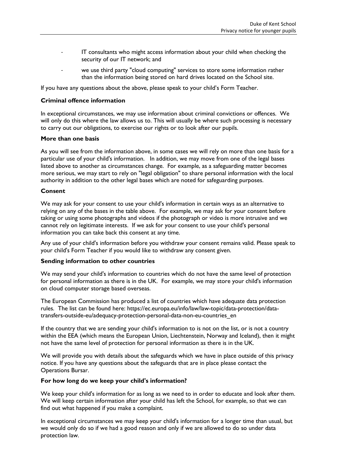- IT consultants who might access information about your child when checking the security of our IT network; and
- we use third party "cloud computing" services to store some information rather than the information being stored on hard drives located on the School site.

If you have any questions about the above, please speak to your child's Form Teacher.

#### **Criminal offence information**

In exceptional circumstances, we may use information about criminal convictions or offences. We will only do this where the law allows us to. This will usually be where such processing is necessary to carry out our obligations, to exercise our rights or to look after our pupils.

#### **More than one basis**

As you will see from the information above, in some cases we will rely on more than one basis for a particular use of your child's information. In addition, we may move from one of the legal bases listed above to another as circumstances change. For example, as a safeguarding matter becomes more serious, we may start to rely on "legal obligation" to share personal information with the local authority in addition to the other legal bases which are noted for safeguarding purposes.

#### **Consent**

We may ask for your consent to use your child's information in certain ways as an alternative to relying on any of the bases in the table above. For example, we may ask for your consent before taking or using some photographs and videos if the photograph or video is more intrusive and we cannot rely on legitimate interests. If we ask for your consent to use your child's personal information you can take back this consent at any time.

Any use of your child's information before you withdraw your consent remains valid. Please speak to your child's Form Teacher if you would like to withdraw any consent given.

#### **Sending information to other countries**

We may send your child's information to countries which do not have the same level of protection for personal information as there is in the UK. For example, we may store your child's information on cloud computer storage based overseas.

The European Commission has produced a list of countries which have adequate data protection rules. The list can be found here: https://ec.europa.eu/info/law/law-topic/data-protection/datatransfers-outside-eu/adequacy-protection-personal-data-non-eu-countries\_en

If the country that we are sending your child's information to is not on the list, or is not a country within the EEA (which means the European Union, Liechtenstein, Norway and Iceland), then it might not have the same level of protection for personal information as there is in the UK.

We will provide you with details about the safeguards which we have in place outside of this privacy notice. If you have any questions about the safeguards that are in place please contact the Operations Bursar.

#### **For how long do we keep your child's information?**

We keep your child's information for as long as we need to in order to educate and look after them. We will keep certain information after your child has left the School, for example, so that we can find out what happened if you make a complaint.

In exceptional circumstances we may keep your child's information for a longer time than usual, but we would only do so if we had a good reason and only if we are allowed to do so under data protection law.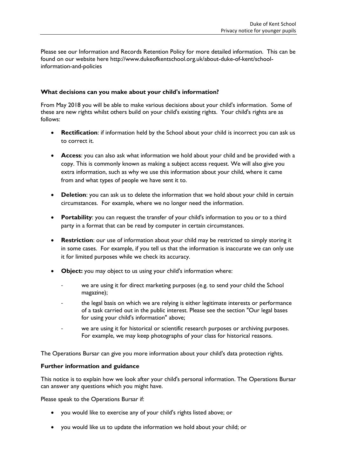Please see our Information and Records Retention Policy for more detailed information. This can be found on our website here http://www.dukeofkentschool.org.uk/about-duke-of-kent/schoolinformation-and-policies

#### **What decisions can you make about your child's information?**

From May 2018 you will be able to make various decisions about your child's information. Some of these are new rights whilst others build on your child's existing rights. Your child's rights are as follows:

- **Rectification**: if information held by the School about your child is incorrect you can ask us to correct it.
- **Access**: you can also ask what information we hold about your child and be provided with a copy. This is commonly known as making a subject access request. We will also give you extra information, such as why we use this information about your child, where it came from and what types of people we have sent it to.
- **•** Deletion: you can ask us to delete the information that we hold about your child in certain circumstances. For example, where we no longer need the information.
- **Portability**: you can request the transfer of your child's information to you or to a third party in a format that can be read by computer in certain circumstances.
- **Restriction**: our use of information about your child may be restricted to simply storing it in some cases. For example, if you tell us that the information is inaccurate we can only use it for limited purposes while we check its accuracy.
- **Object:** you may object to us using your child's information where:
	- we are using it for direct marketing purposes (e.g. to send your child the School magazine);
	- the legal basis on which we are relying is either legitimate interests or performance of a task carried out in the public interest. Please see the section "Our legal bases for using your child's information" above;
	- we are using it for historical or scientific research purposes or archiving purposes. For example, we may keep photographs of your class for historical reasons.

The Operations Bursar can give you more information about your child's data protection rights.

#### **Further information and guidance**

This notice is to explain how we look after your child's personal information. The Operations Bursar can answer any questions which you might have.

Please speak to the Operations Bursar if:

- you would like to exercise any of your child's rights listed above; or
- you would like us to update the information we hold about your child; or